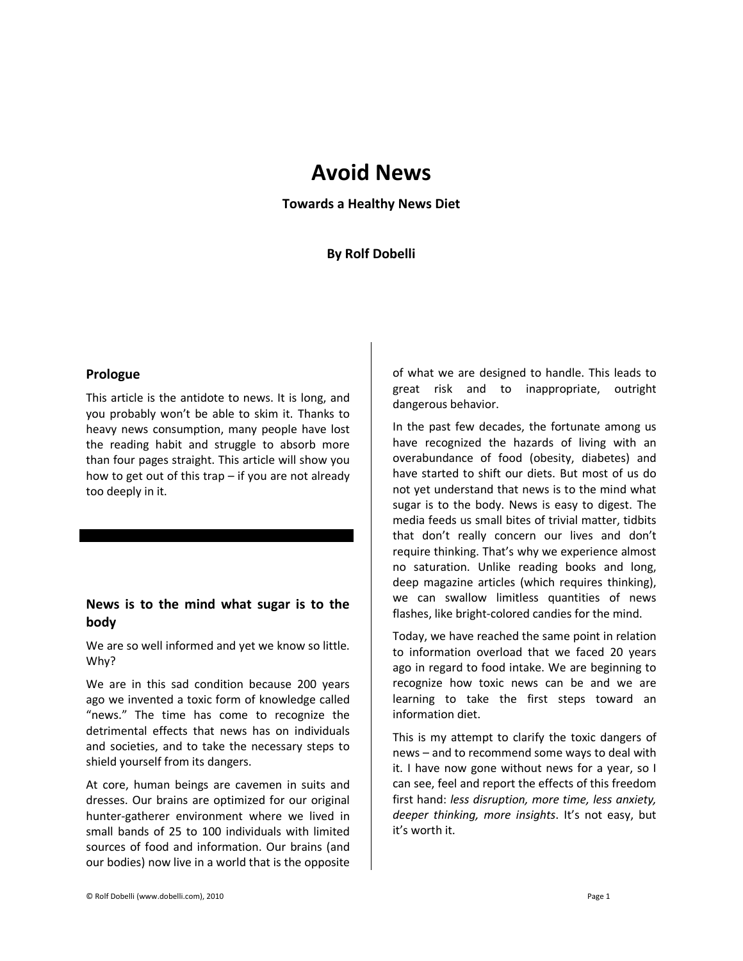# **Avoid News**

**Towards a Healthy News Diet**

# **By Rolf Dobelli**

#### **Prologue**

This article is the antidote to news. It is long, and you probably won't be able to skim it. Thanks to heavy news consumption, many people have lost the reading habit and struggle to absorb more than four pages straight. This article will show you how to get out of this trap – if you are not already too deeply in it.

# **News is to the mind what sugar is to the body**

We are so well informed and yet we know so little. Why?

We are in this sad condition because 200 years ago we invented a toxic form of knowledge called "news." The time has come to recognize the detrimental effects that news has on individuals and societies, and to take the necessary steps to shield yourself from its dangers.

At core, human beings are cavemen in suits and dresses. Our brains are optimized for our original hunter-gatherer environment where we lived in small bands of 25 to 100 individuals with limited sources of food and information. Our brains (and our bodies) now live in a world that is the opposite

of what we are designed to handle. This leads to great risk and to inappropriate, outright dangerous behavior.

In the past few decades, the fortunate among us have recognized the hazards of living with an overabundance of food (obesity, diabetes) and have started to shift our diets. But most of us do not yet understand that news is to the mind what sugar is to the body. News is easy to digest. The media feeds us small bites of trivial matter, tidbits that don't really concern our lives and don't require thinking. That's why we experience almost no saturation. Unlike reading books and long, deep magazine articles (which requires thinking), we can swallow limitless quantities of news flashes, like bright-colored candies for the mind.

Today, we have reached the same point in relation to information overload that we faced 20 years ago in regard to food intake. We are beginning to recognize how toxic news can be and we are learning to take the first steps toward an information diet.

This is my attempt to clarify the toxic dangers of news – and to recommend some ways to deal with it. I have now gone without news for a year, so I can see, feel and report the effects of this freedom first hand: *less disruption, more time, less anxiety, deeper thinking, more insights*. It's not easy, but it's worth it.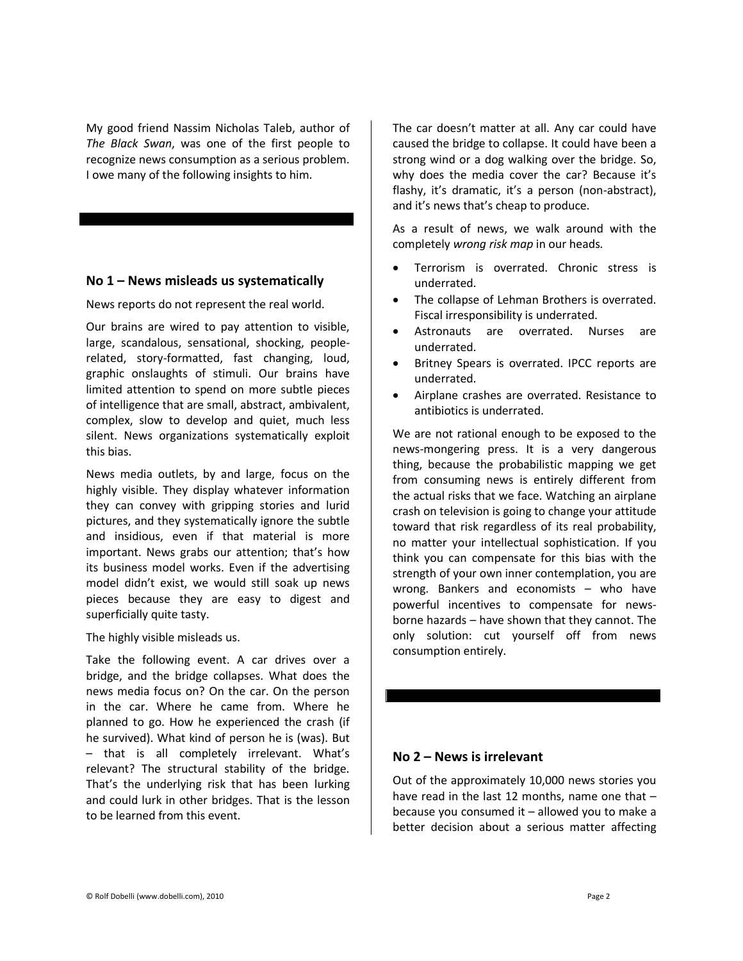My good friend Nassim Nicholas Taleb, author of *The Black Swan*, was one of the first people to recognize news consumption as a serious problem. I owe many of the following insights to him.

#### **No 1 – News misleads us systematically**

News reports do not represent the real world.

Our brains are wired to pay attention to visible, large, scandalous, sensational, shocking, peoplerelated, story-formatted, fast changing, loud, graphic onslaughts of stimuli. Our brains have limited attention to spend on more subtle pieces of intelligence that are small, abstract, ambivalent, complex, slow to develop and quiet, much less silent. News organizations systematically exploit this bias.

News media outlets, by and large, focus on the highly visible. They display whatever information they can convey with gripping stories and lurid pictures, and they systematically ignore the subtle and insidious, even if that material is more important. News grabs our attention; that's how its business model works. Even if the advertising model didn't exist, we would still soak up news pieces because they are easy to digest and superficially quite tasty.

The highly visible misleads us.

Take the following event. A car drives over a bridge, and the bridge collapses. What does the news media focus on? On the car. On the person in the car. Where he came from. Where he planned to go. How he experienced the crash (if he survived). What kind of person he is (was). But – that is all completely irrelevant. What's relevant? The structural stability of the bridge. That's the underlying risk that has been lurking and could lurk in other bridges. That is the lesson to be learned from this event.

The car doesn't matter at all. Any car could have caused the bridge to collapse. It could have been a strong wind or a dog walking over the bridge. So, why does the media cover the car? Because it's flashy, it's dramatic, it's a person (non-abstract), and it's news that's cheap to produce.

As a result of news, we walk around with the completely *wrong risk map* in our heads*.*

- Terrorism is overrated. Chronic stress is underrated.
- The collapse of Lehman Brothers is overrated. Fiscal irresponsibility is underrated.
- Astronauts are overrated. Nurses are underrated.
- Britney Spears is overrated. IPCC reports are underrated.
- Airplane crashes are overrated. Resistance to antibiotics is underrated.

We are not rational enough to be exposed to the news-mongering press. It is a very dangerous thing, because the probabilistic mapping we get from consuming news is entirely different from the actual risks that we face. Watching an airplane crash on television is going to change your attitude toward that risk regardless of its real probability, no matter your intellectual sophistication. If you think you can compensate for this bias with the strength of your own inner contemplation, you are wrong. Bankers and economists – who have powerful incentives to compensate for newsborne hazards – have shown that they cannot. The only solution: cut yourself off from news consumption entirely.

# **No 2 – News is irrelevant**

Out of the approximately 10,000 news stories you have read in the last 12 months, name one that because you consumed it – allowed you to make a better decision about a serious matter affecting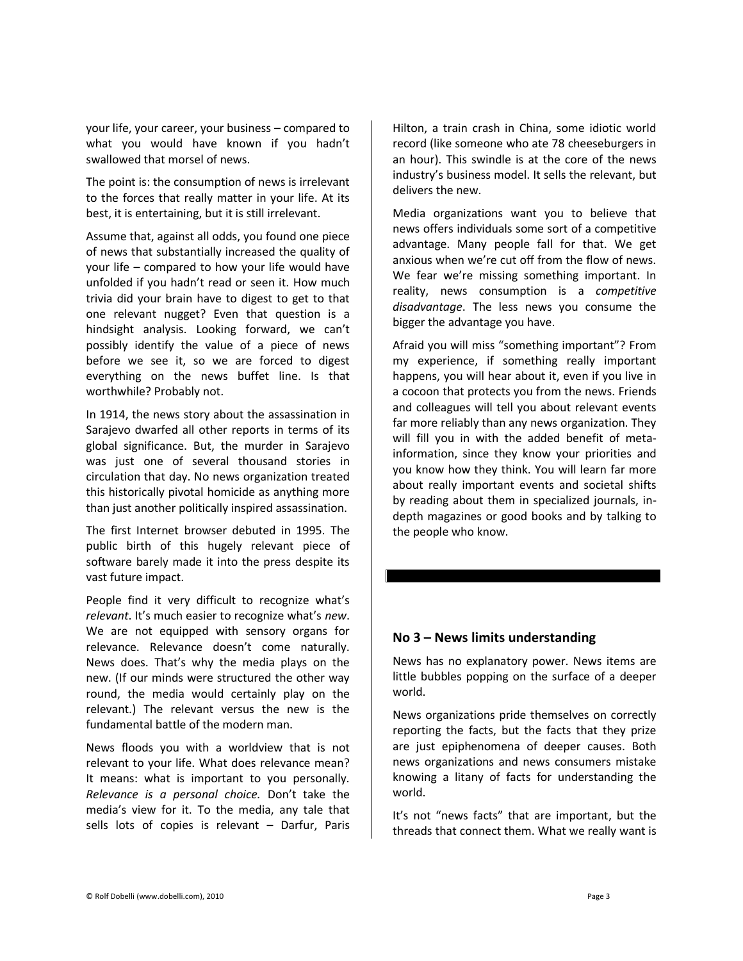your life, your career, your business – compared to what you would have known if you hadn't swallowed that morsel of news.

The point is: the consumption of news is irrelevant to the forces that really matter in your life. At its best, it is entertaining, but it is still irrelevant.

Assume that, against all odds, you found one piece of news that substantially increased the quality of your life – compared to how your life would have unfolded if you hadn't read or seen it. How much trivia did your brain have to digest to get to that one relevant nugget? Even that question is a hindsight analysis. Looking forward, we can't possibly identify the value of a piece of news before we see it, so we are forced to digest everything on the news buffet line. Is that worthwhile? Probably not.

In 1914, the news story about the assassination in Sarajevo dwarfed all other reports in terms of its global significance. But, the murder in Sarajevo was just one of several thousand stories in circulation that day. No news organization treated this historically pivotal homicide as anything more than just another politically inspired assassination.

The first Internet browser debuted in 1995. The public birth of this hugely relevant piece of software barely made it into the press despite its vast future impact.

People find it very difficult to recognize what's *relevant*. It's much easier to recognize what's *new*. We are not equipped with sensory organs for relevance. Relevance doesn't come naturally. News does. That's why the media plays on the new. (If our minds were structured the other way round, the media would certainly play on the relevant.) The relevant versus the new is the fundamental battle of the modern man.

News floods you with a worldview that is not relevant to your life. What does relevance mean? It means: what is important to you personally. *Relevance is a personal choice.* Don't take the media's view for it. To the media, any tale that sells lots of copies is relevant – Darfur, Paris

Hilton, a train crash in China, some idiotic world record (like someone who ate 78 cheeseburgers in an hour). This swindle is at the core of the news industry's business model. It sells the relevant, but delivers the new.

Media organizations want you to believe that news offers individuals some sort of a competitive advantage. Many people fall for that. We get anxious when we're cut off from the flow of news. We fear we're missing something important. In reality, news consumption is a *competitive disadvantage*. The less news you consume the bigger the advantage you have.

Afraid you will miss "something important"? From my experience, if something really important happens, you will hear about it, even if you live in a cocoon that protects you from the news. Friends and colleagues will tell you about relevant events far more reliably than any news organization. They will fill you in with the added benefit of metainformation, since they know your priorities and you know how they think. You will learn far more about really important events and societal shifts by reading about them in specialized journals, indepth magazines or good books and by talking to the people who know.

#### **No 3 – News limits understanding**

News has no explanatory power. News items are little bubbles popping on the surface of a deeper world.

News organizations pride themselves on correctly reporting the facts, but the facts that they prize are just epiphenomena of deeper causes. Both news organizations and news consumers mistake knowing a litany of facts for understanding the world.

It's not "news facts" that are important, but the threads that connect them. What we really want is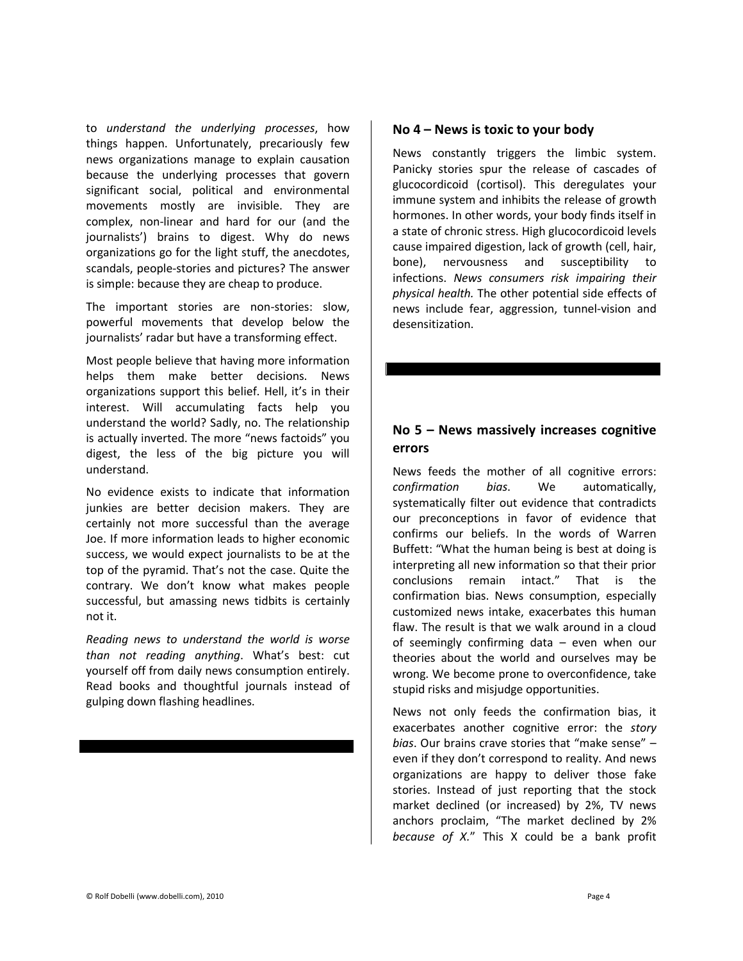to *understand the underlying processes*, how things happen. Unfortunately, precariously few news organizations manage to explain causation because the underlying processes that govern significant social, political and environmental movements mostly are invisible. They are complex, non-linear and hard for our (and the journalists') brains to digest. Why do news organizations go for the light stuff, the anecdotes, scandals, people-stories and pictures? The answer is simple: because they are cheap to produce.

The important stories are non-stories: slow, powerful movements that develop below the journalists' radar but have a transforming effect.

Most people believe that having more information helps them make better decisions. News organizations support this belief. Hell, it's in their interest. Will accumulating facts help you understand the world? Sadly, no. The relationship is actually inverted. The more "news factoids" you digest, the less of the big picture you will understand.

No evidence exists to indicate that information junkies are better decision makers. They are certainly not more successful than the average Joe. If more information leads to higher economic success, we would expect journalists to be at the top of the pyramid. That's not the case. Quite the contrary. We don't know what makes people successful, but amassing news tidbits is certainly not it.

*Reading news to understand the world is worse than not reading anything*. What's best: cut yourself off from daily news consumption entirely. Read books and thoughtful journals instead of gulping down flashing headlines.

#### **No 4 – News is toxic to your body**

News constantly triggers the limbic system. Panicky stories spur the release of cascades of glucocordicoid (cortisol). This deregulates your immune system and inhibits the release of growth hormones. In other words, your body finds itself in a state of chronic stress. High glucocordicoid levels cause impaired digestion, lack of growth (cell, hair, bone), nervousness and susceptibility to infections. *News consumers risk impairing their physical health.* The other potential side effects of news include fear, aggression, tunnel-vision and desensitization.

# **No 5 – News massively increases cognitive errors**

News feeds the mother of all cognitive errors: *confirmation bias*. We automatically, systematically filter out evidence that contradicts our preconceptions in favor of evidence that confirms our beliefs. In the words of Warren Buffett: "What the human being is best at doing is interpreting all new information so that their prior conclusions remain intact." That is the confirmation bias. News consumption, especially customized news intake, exacerbates this human flaw. The result is that we walk around in a cloud of seemingly confirming data – even when our theories about the world and ourselves may be wrong. We become prone to overconfidence, take stupid risks and misjudge opportunities.

News not only feeds the confirmation bias, it exacerbates another cognitive error: the *story bias*. Our brains crave stories that "make sense" – even if they don't correspond to reality. And news organizations are happy to deliver those fake stories. Instead of just reporting that the stock market declined (or increased) by 2%, TV news anchors proclaim, "The market declined by 2% *because of X.*" This X could be a bank profit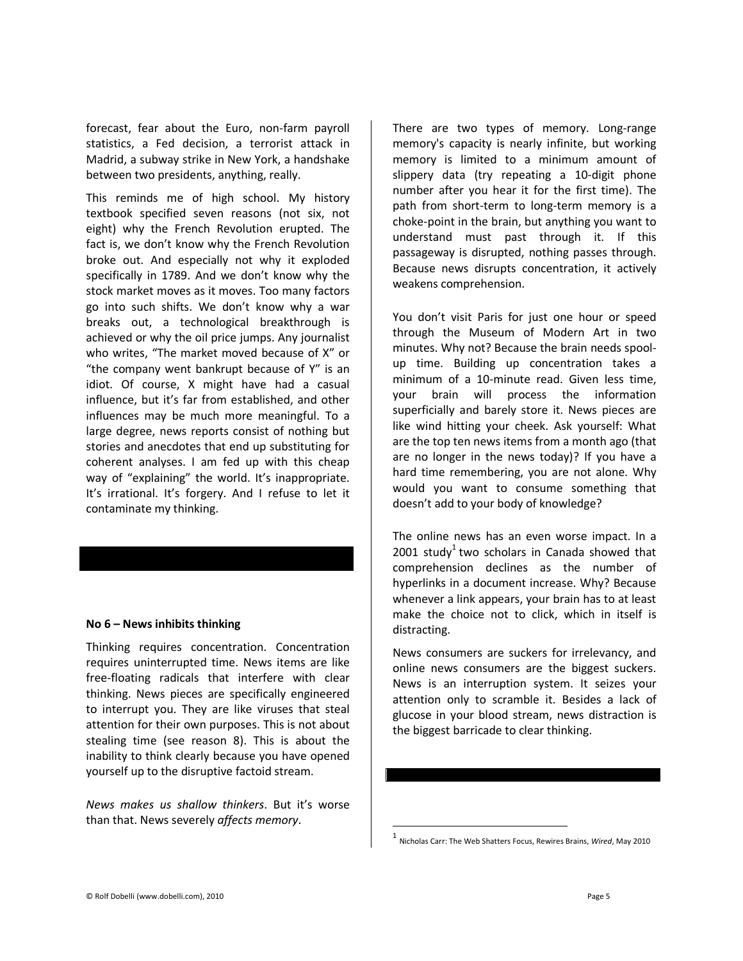forecast, fear about the Euro, non-farm payroll statistics, a Fed decision, a terrorist attack in Madrid, a subway strike in New York, a handshake between two presidents, anything, really.

This reminds me of high school. My history textbook specified seven reasons (not six, not eight) why the French Revolution erupted. The fact is, we don't know why the French Revolution broke out. And especially not why it exploded specifically in 1789. And we don't know why the stock market moves as it moves. Too many factors go into such shifts. We don't know why a war breaks out, a technological breakthrough is achieved or why the oil price jumps. Any journalist who writes, "The market moved because of X" or "the company went bankrupt because of Y" is an idiot. Of course, X might have had a casual influence, but it's far from established, and other influences may be much more meaningful. To a large degree, news reports consist of nothing but stories and anecdotes that end up substituting for coherent analyses. I am fed up with this cheap way of "explaining" the world. It's inappropriate. It's irrational. It's forgery. And I refuse to let it contaminate my thinking.

#### **No 6 – News inhibits thinking**

Thinking requires concentration. Concentration requires uninterrupted time. News items are like free-floating radicals that interfere with clear thinking. News pieces are specifically engineered to interrupt you. They are like viruses that steal attention for their own purposes. This is not about stealing time (see reason 8). This is about the inability to think clearly because you have opened yourself up to the disruptive factoid stream.

*News makes us shallow thinkers*. But it's worse than that. News severely *affects memory*.

There are two types of memory. Long-range memory's capacity is nearly infinite, but working memory is limited to a minimum amount of slippery data (try repeating a 10-digit phone number after you hear it for the first time). The path from short-term to long-term memory is a choke-point in the brain, but anything you want to understand must past through it. If this passageway is disrupted, nothing passes through. Because news disrupts concentration, it actively weakens comprehension.

You don't visit Paris for just one hour or speed through the Museum of Modern Art in two minutes. Why not? Because the brain needs spoolup time. Building up concentration takes a minimum of a 10-minute read. Given less time, your brain will process the information superficially and barely store it. News pieces are like wind hitting your cheek. Ask yourself: What are the top ten news items from a month ago (that are no longer in the news today)? If you have a hard time remembering, you are not alone. Why would you want to consume something that doesn't add to your body of knowledge?

The online news has an even worse impact. In a  $2001$  study<sup>1</sup> two scholars in Canada showed that comprehension declines as the number of hyperlinks in a document increase. Why? Because whenever a link appears, your brain has to at least make the choice not to click, which in itself is distracting.

News consumers are suckers for irrelevancy, and online news consumers are the biggest suckers. News is an interruption system. It seizes your attention only to scramble it. Besides a lack of glucose in your blood stream, news distraction is the biggest barricade to clear thinking.

 $\overline{\phantom{a}}$ 

<sup>1</sup> Nicholas Carr: The Web Shatters Focus, Rewires Brains, *Wired*, May 2010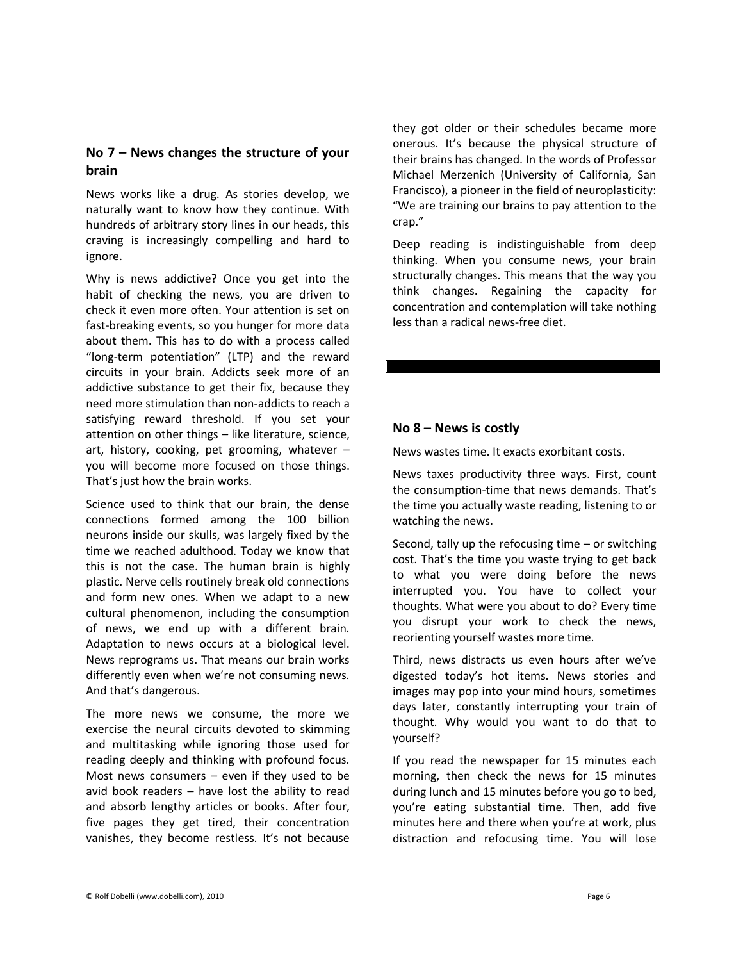# **No 7 – News changes the structure of your brain**

News works like a drug. As stories develop, we naturally want to know how they continue. With hundreds of arbitrary story lines in our heads, this craving is increasingly compelling and hard to ignore.

Why is news addictive? Once you get into the habit of checking the news, you are driven to check it even more often. Your attention is set on fast-breaking events, so you hunger for more data about them. This has to do with a process called "long-term potentiation" (LTP) and the reward circuits in your brain. Addicts seek more of an addictive substance to get their fix, because they need more stimulation than non-addicts to reach a satisfying reward threshold. If you set your attention on other things – like literature, science, art, history, cooking, pet grooming, whatever – you will become more focused on those things. That's just how the brain works.

Science used to think that our brain, the dense connections formed among the 100 billion neurons inside our skulls, was largely fixed by the time we reached adulthood. Today we know that this is not the case. The human brain is highly plastic. Nerve cells routinely break old connections and form new ones. When we adapt to a new cultural phenomenon, including the consumption of news, we end up with a different brain. Adaptation to news occurs at a biological level. News reprograms us. That means our brain works differently even when we're not consuming news. And that's dangerous.

The more news we consume, the more we exercise the neural circuits devoted to skimming and multitasking while ignoring those used for reading deeply and thinking with profound focus. Most news consumers  $-$  even if they used to be avid book readers – have lost the ability to read and absorb lengthy articles or books. After four, five pages they get tired, their concentration vanishes, they become restless. It's not because

they got older or their schedules became more onerous. It's because the physical structure of their brains has changed. In the words of Professor Michael Merzenich (University of California, San Francisco), a pioneer in the field of neuroplasticity: "We are training our brains to pay attention to the crap."

Deep reading is indistinguishable from deep thinking. When you consume news, your brain structurally changes. This means that the way you think changes. Regaining the capacity for concentration and contemplation will take nothing less than a radical news-free diet.

#### **No 8 – News is costly**

News wastes time. It exacts exorbitant costs.

News taxes productivity three ways. First, count the consumption-time that news demands. That's the time you actually waste reading, listening to or watching the news.

Second, tally up the refocusing time – or switching cost. That's the time you waste trying to get back to what you were doing before the news interrupted you. You have to collect your thoughts. What were you about to do? Every time you disrupt your work to check the news, reorienting yourself wastes more time.

Third, news distracts us even hours after we've digested today's hot items. News stories and images may pop into your mind hours, sometimes days later, constantly interrupting your train of thought. Why would you want to do that to yourself?

If you read the newspaper for 15 minutes each morning, then check the news for 15 minutes during lunch and 15 minutes before you go to bed, you're eating substantial time. Then, add five minutes here and there when you're at work, plus distraction and refocusing time. You will lose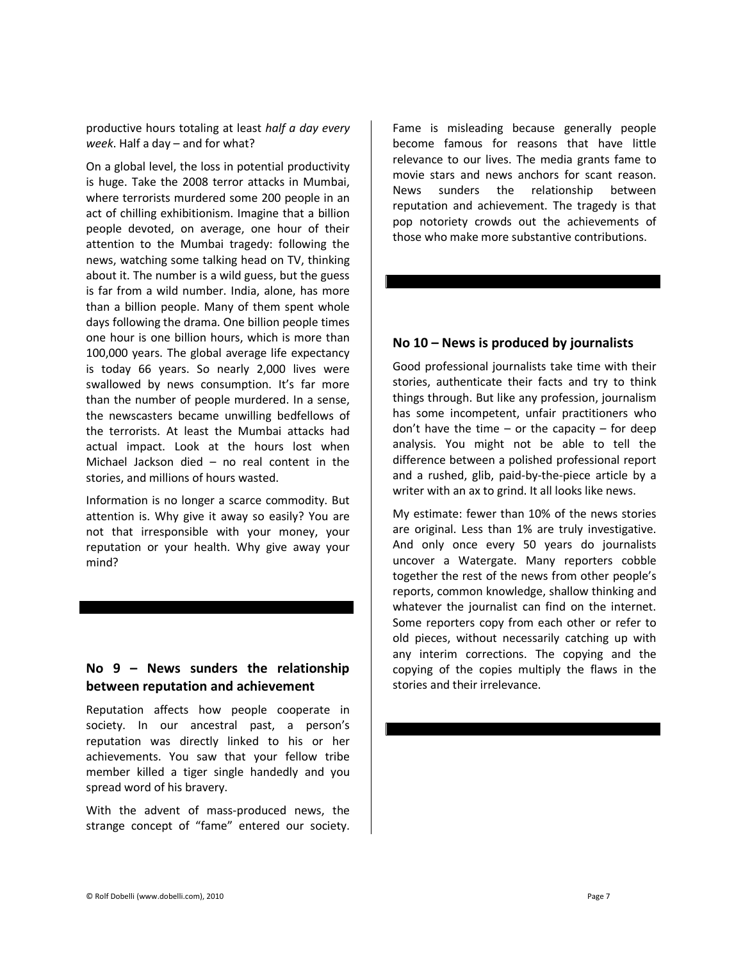productive hours totaling at least *half a day every week*. Half a day – and for what?

On a global level, the loss in potential productivity is huge. Take the 2008 terror attacks in Mumbai, where terrorists murdered some 200 people in an act of chilling exhibitionism. Imagine that a billion people devoted, on average, one hour of their attention to the Mumbai tragedy: following the news, watching some talking head on TV, thinking about it. The number is a wild guess, but the guess is far from a wild number. India, alone, has more than a billion people. Many of them spent whole days following the drama. One billion people times one hour is one billion hours, which is more than 100,000 years. The global average life expectancy is today 66 years. So nearly 2,000 lives were swallowed by news consumption. It's far more than the number of people murdered. In a sense, the newscasters became unwilling bedfellows of the terrorists. At least the Mumbai attacks had actual impact. Look at the hours lost when Michael Jackson died – no real content in the stories, and millions of hours wasted.

Information is no longer a scarce commodity. But attention is. Why give it away so easily? You are not that irresponsible with your money, your reputation or your health. Why give away your mind?

# **No 9 – News sunders the relationship between reputation and achievement**

Reputation affects how people cooperate in society. In our ancestral past, a person's reputation was directly linked to his or her achievements. You saw that your fellow tribe member killed a tiger single handedly and you spread word of his bravery.

With the advent of mass-produced news, the strange concept of "fame" entered our society.

Fame is misleading because generally people become famous for reasons that have little relevance to our lives. The media grants fame to movie stars and news anchors for scant reason. News sunders the relationship between reputation and achievement. The tragedy is that pop notoriety crowds out the achievements of those who make more substantive contributions.

#### **No 10 – News is produced by journalists**

Good professional journalists take time with their stories, authenticate their facts and try to think things through. But like any profession, journalism has some incompetent, unfair practitioners who don't have the time  $-$  or the capacity  $-$  for deep analysis. You might not be able to tell the difference between a polished professional report and a rushed, glib, paid-by-the-piece article by a writer with an ax to grind. It all looks like news.

My estimate: fewer than 10% of the news stories are original. Less than 1% are truly investigative. And only once every 50 years do journalists uncover a Watergate. Many reporters cobble together the rest of the news from other people's reports, common knowledge, shallow thinking and whatever the journalist can find on the internet. Some reporters copy from each other or refer to old pieces, without necessarily catching up with any interim corrections. The copying and the copying of the copies multiply the flaws in the stories and their irrelevance.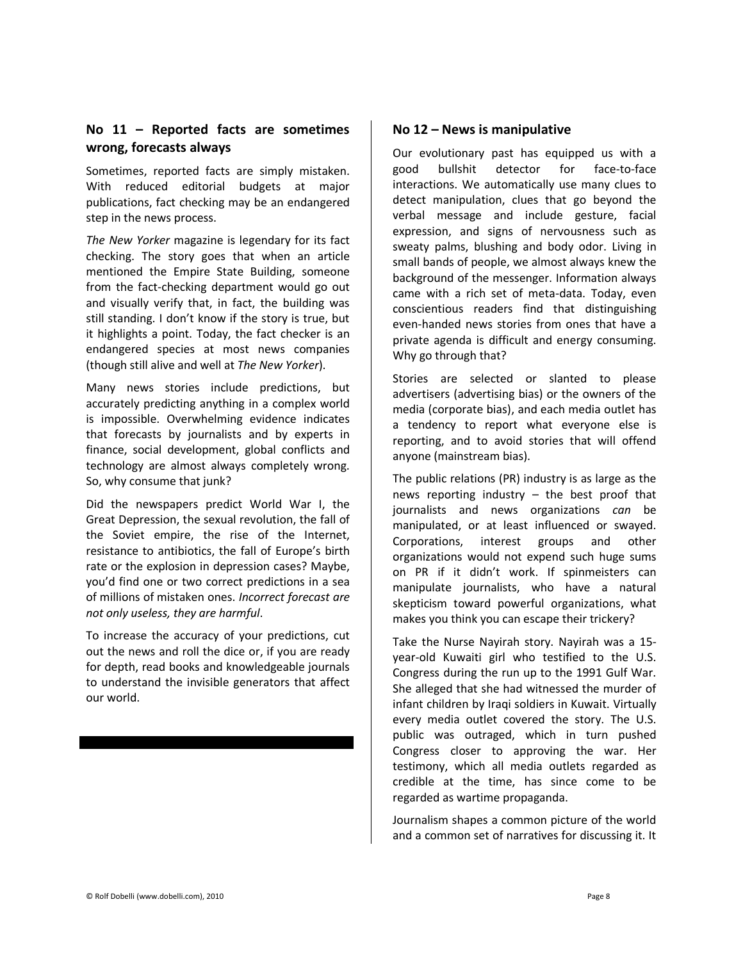# **No 11 – Reported facts are sometimes wrong, forecasts always**

Sometimes, reported facts are simply mistaken. With reduced editorial budgets at major publications, fact checking may be an endangered step in the news process.

*The New Yorker* magazine is legendary for its fact checking. The story goes that when an article mentioned the Empire State Building, someone from the fact-checking department would go out and visually verify that, in fact, the building was still standing. I don't know if the story is true, but it highlights a point. Today, the fact checker is an endangered species at most news companies (though still alive and well at *The New Yorker*).

Many news stories include predictions, but accurately predicting anything in a complex world is impossible. Overwhelming evidence indicates that forecasts by journalists and by experts in finance, social development, global conflicts and technology are almost always completely wrong. So, why consume that junk?

Did the newspapers predict World War I, the Great Depression, the sexual revolution, the fall of the Soviet empire, the rise of the Internet, resistance to antibiotics, the fall of Europe's birth rate or the explosion in depression cases? Maybe, you'd find one or two correct predictions in a sea of millions of mistaken ones. *Incorrect forecast are not only useless, they are harmful*.

To increase the accuracy of your predictions, cut out the news and roll the dice or, if you are ready for depth, read books and knowledgeable journals to understand the invisible generators that affect our world.

#### **No 12 – News is manipulative**

Our evolutionary past has equipped us with a good bullshit detector for face-to-face interactions. We automatically use many clues to detect manipulation, clues that go beyond the verbal message and include gesture, facial expression, and signs of nervousness such as sweaty palms, blushing and body odor. Living in small bands of people, we almost always knew the background of the messenger. Information always came with a rich set of meta-data. Today, even conscientious readers find that distinguishing even-handed news stories from ones that have a private agenda is difficult and energy consuming. Why go through that?

Stories are selected or slanted to please advertisers (advertising bias) or the owners of the media (corporate bias), and each media outlet has a tendency to report what everyone else is reporting, and to avoid stories that will offend anyone (mainstream bias).

The public relations (PR) industry is as large as the news reporting industry – the best proof that journalists and news organizations *can* be manipulated, or at least influenced or swayed. Corporations, interest groups and other organizations would not expend such huge sums on PR if it didn't work. If spinmeisters can manipulate journalists, who have a natural skepticism toward powerful organizations, what makes you think you can escape their trickery?

Take the Nurse Nayirah story. Nayirah was a 15 year-old Kuwaiti girl who testified to the U.S. Congress during the run up to the 1991 Gulf War. She alleged that she had witnessed the murder of infant children by Iraqi soldiers in Kuwait. Virtually every media outlet covered the story. The U.S. public was outraged, which in turn pushed Congress closer to approving the war. Her testimony, which all media outlets regarded as credible at the time, has since come to be regarded as wartime propaganda.

Journalism shapes a common picture of the world and a common set of narratives for discussing it. It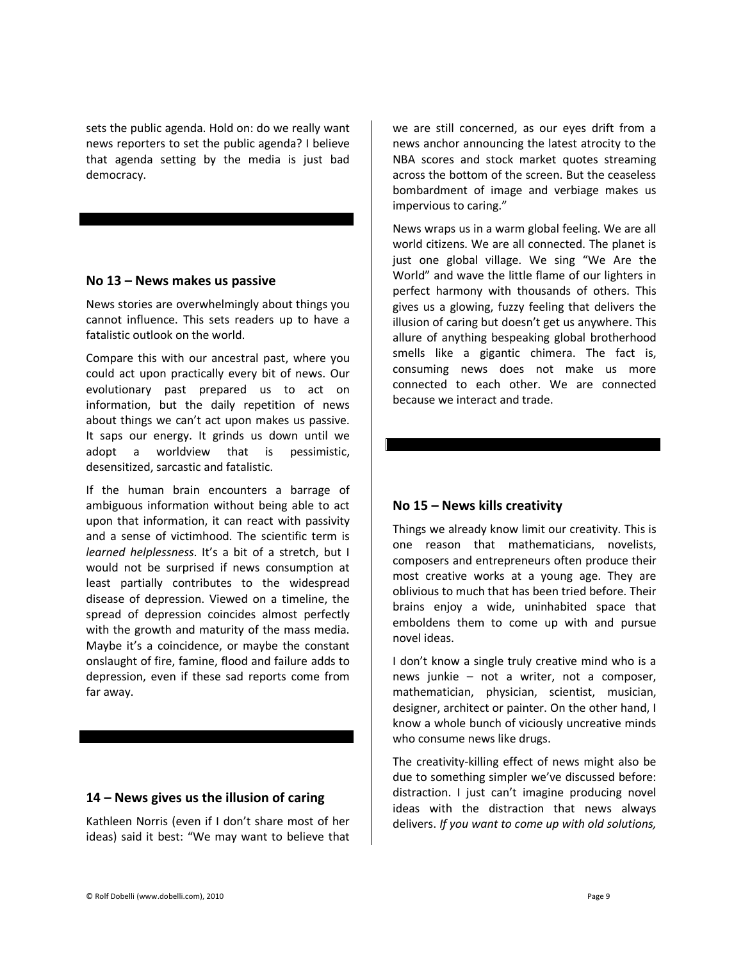sets the public agenda. Hold on: do we really want news reporters to set the public agenda? I believe that agenda setting by the media is just bad democracy.

#### **No 13 – News makes us passive**

News stories are overwhelmingly about things you cannot influence. This sets readers up to have a fatalistic outlook on the world.

Compare this with our ancestral past, where you could act upon practically every bit of news. Our evolutionary past prepared us to act on information, but the daily repetition of news about things we can't act upon makes us passive. It saps our energy. It grinds us down until we adopt a worldview that is pessimistic, desensitized, sarcastic and fatalistic.

If the human brain encounters a barrage of ambiguous information without being able to act upon that information, it can react with passivity and a sense of victimhood. The scientific term is *learned helplessness*. It's a bit of a stretch, but I would not be surprised if news consumption at least partially contributes to the widespread disease of depression. Viewed on a timeline, the spread of depression coincides almost perfectly with the growth and maturity of the mass media. Maybe it's a coincidence, or maybe the constant onslaught of fire, famine, flood and failure adds to depression, even if these sad reports come from far away.

#### **14 – News gives us the illusion of caring**

Kathleen Norris (even if I don't share most of her ideas) said it best: "We may want to believe that we are still concerned, as our eyes drift from a news anchor announcing the latest atrocity to the NBA scores and stock market quotes streaming across the bottom of the screen. But the ceaseless bombardment of image and verbiage makes us impervious to caring."

News wraps us in a warm global feeling. We are all world citizens. We are all connected. The planet is just one global village. We sing "We Are the World" and wave the little flame of our lighters in perfect harmony with thousands of others. This gives us a glowing, fuzzy feeling that delivers the illusion of caring but doesn't get us anywhere. This allure of anything bespeaking global brotherhood smells like a gigantic chimera. The fact is, consuming news does not make us more connected to each other. We are connected because we interact and trade.

# **No 15 – News kills creativity**

Things we already know limit our creativity. This is one reason that mathematicians, novelists, composers and entrepreneurs often produce their most creative works at a young age. They are oblivious to much that has been tried before. Their brains enjoy a wide, uninhabited space that emboldens them to come up with and pursue novel ideas.

I don't know a single truly creative mind who is a news junkie – not a writer, not a composer, mathematician, physician, scientist, musician, designer, architect or painter. On the other hand, I know a whole bunch of viciously uncreative minds who consume news like drugs.

The creativity-killing effect of news might also be due to something simpler we've discussed before: distraction. I just can't imagine producing novel ideas with the distraction that news always delivers. *If you want to come up with old solutions,*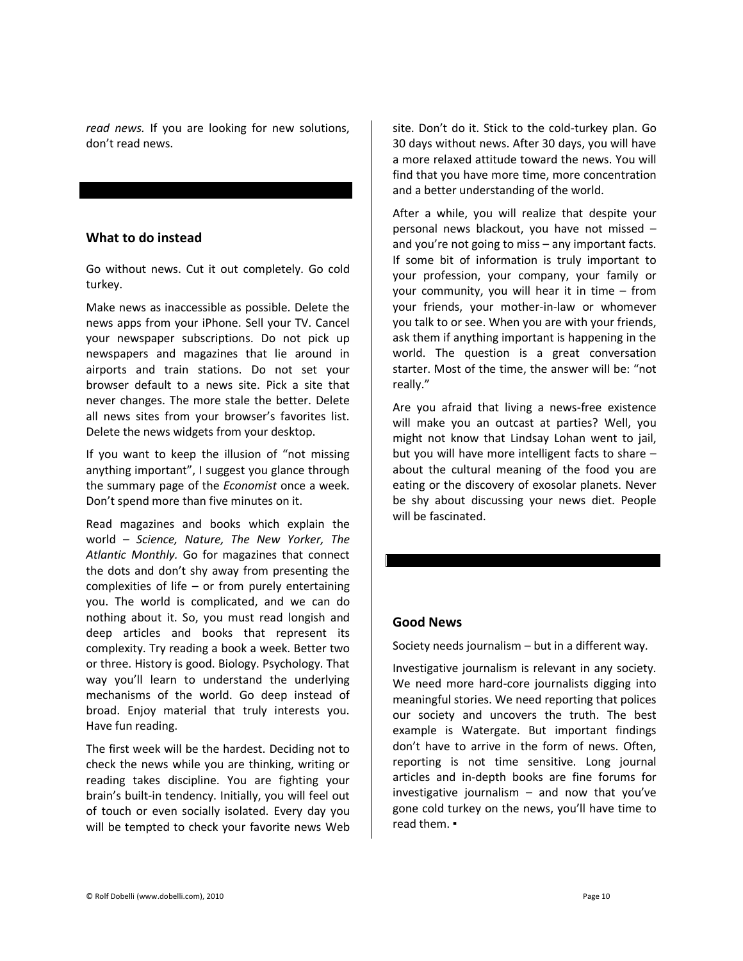*read news.* If you are looking for new solutions, don't read news.

#### **What to do instead**

Go without news. Cut it out completely. Go cold turkey.

Make news as inaccessible as possible. Delete the news apps from your iPhone. Sell your TV. Cancel your newspaper subscriptions. Do not pick up newspapers and magazines that lie around in airports and train stations. Do not set your browser default to a news site. Pick a site that never changes. The more stale the better. Delete all news sites from your browser's favorites list. Delete the news widgets from your desktop.

If you want to keep the illusion of "not missing anything important", I suggest you glance through the summary page of the *Economist* once a week. Don't spend more than five minutes on it.

Read magazines and books which explain the world – *Science, Nature, The New Yorker, The Atlantic Monthly.* Go for magazines that connect the dots and don't shy away from presenting the complexities of life – or from purely entertaining you. The world is complicated, and we can do nothing about it. So, you must read longish and deep articles and books that represent its complexity. Try reading a book a week. Better two or three. History is good. Biology. Psychology. That way you'll learn to understand the underlying mechanisms of the world. Go deep instead of broad. Enjoy material that truly interests you. Have fun reading.

The first week will be the hardest. Deciding not to check the news while you are thinking, writing or reading takes discipline. You are fighting your brain's built-in tendency. Initially, you will feel out of touch or even socially isolated. Every day you will be tempted to check your favorite news Web site. Don't do it. Stick to the cold-turkey plan. Go 30 days without news. After 30 days, you will have a more relaxed attitude toward the news. You will find that you have more time, more concentration and a better understanding of the world.

After a while, you will realize that despite your personal news blackout, you have not missed – and you're not going to miss – any important facts. If some bit of information is truly important to your profession, your company, your family or your community, you will hear it in time – from your friends, your mother-in-law or whomever you talk to or see. When you are with your friends, ask them if anything important is happening in the world. The question is a great conversation starter. Most of the time, the answer will be: "not really."

Are you afraid that living a news-free existence will make you an outcast at parties? Well, you might not know that Lindsay Lohan went to jail, but you will have more intelligent facts to share – about the cultural meaning of the food you are eating or the discovery of exosolar planets. Never be shy about discussing your news diet. People will be fascinated.

#### **Good News**

Society needs journalism – but in a different way.

Investigative journalism is relevant in any society. We need more hard-core journalists digging into meaningful stories. We need reporting that polices our society and uncovers the truth. The best example is Watergate. But important findings don't have to arrive in the form of news. Often, reporting is not time sensitive. Long journal articles and in-depth books are fine forums for investigative journalism  $-$  and now that you've gone cold turkey on the news, you'll have time to read them. ▪